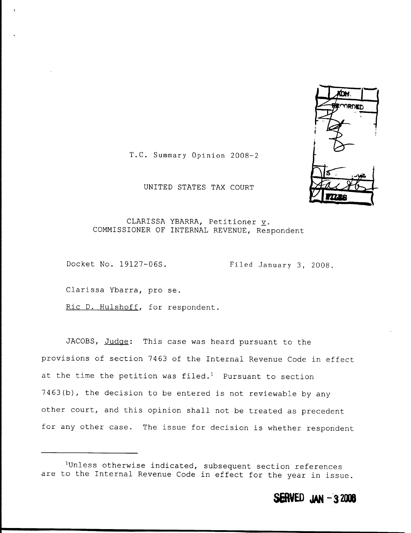

T.C. Summary Opinion 2008-2

## UNITED STATES TAX COURT

### CLARISSA YBARRA, Petitioner v. COMMISSIONER OF INTERNAL REVENUE, Respondent

Docket No. 19127-06S. Filed January 3, 2008.

Clarissa Ybarra, pro se .

Ric D. Hulshoff, for respondent.

JACOBS, Judge: This case was heard pursuant to the provisions of section 7463 of the Internal Revenue Code in effect at the time the petition was filed.<sup>1</sup> Pursuant to section 7463(b), the decision to be entered is not reviewable by any other court, and this opinion shall not be treated as precedent for any other case. The issue for decision is whether respondent

<sup>&#</sup>x27;Unless otherwise indicated, subsequent section references are to the Internal Revenue Code in effect for the year in issue .

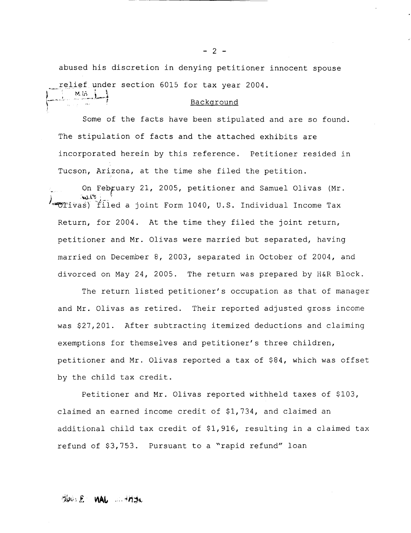abused his discretion in denying petitioner innocent spouse relief under section 6015 for tax year 2004. abused ins<br>relief und<br>Min |

#### Background

Some of the facts have been stipulated and are so found. The stipulation of facts and the attached exhibits are incorporated herein by this reference. Petitioner resided in Tucson, Arizona, at the time she filed the petition.

On February 21, 2005, petitioner and Samuel Olivas (Mr.  $1$ -Olivas) filed a joint Form 1040, U.S. Individual Income Tax Return, for 2004. At the time they filed the joint return, petitioner and Mr. Olivas were married but separated, having married on December 8, 2003, separated in October of 2004, and divorced on May 24, 2005. The return was prepared by H&R Block.

The return listed petitioner's occupation as that of manager and Mr. Olivas as retired. Their reported adjusted gross income was \$27,201. After subtracting itemized deductions and claiming exemptions for themselves and petitioner's three children, petitioner and Mr. Olivas reported a tax of \$84, which was offset by the child tax credit.

Petitioner and Mr. Olivas reported withheld taxes of \$103, claimed an earned income credit of \$1,734, and claimed an additional child tax credit of \$1,916, resulting in a claimed tax refund of \$3,753. Pursuant to a "rapid refund" loan

# Blues E MAL SEPACE

 $-2 -$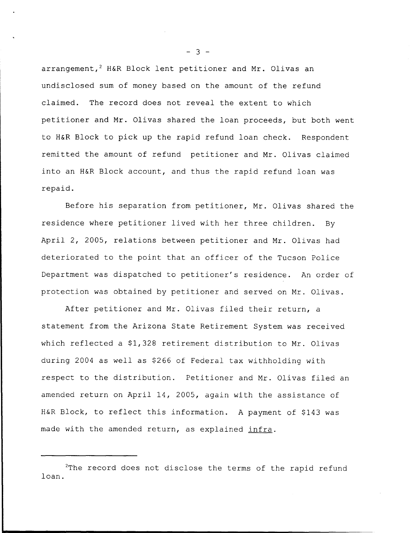arrangement,<sup>2</sup> H&R Block lent petitioner and Mr. Olivas an undisclosed sum of money based on the amount of the refund claimed. The record does not reveal the extent to which petitioner and Mr. Olivas shared the loan proceeds, but both went to H&R Block to pick up the rapid refund loan check. Respondent remitted the amount of refund petitioner and Mr. Olivas claimed into an H&R Block account, and thus the rapid refund loan was repaid .

Before his separation from petitioner, Mr. Olivas shared the residence where petitioner lived with her three children. By April 2, 2005, relations between petitioner and Mr. Olivas had deteriorated to the point that an officer of the Tucson Police Department was dispatched to petitioner's residence. An order of protection was obtained by petitioner and served on Mr. Olivas.

After petitioner and Mr. Olivas filed their return, a statement from the Arizona State Retirement System was received which reflected a \$1,328 retirement distribution to Mr. Olivas during 2004 as well as \$266 of Federal tax withholding with respect to the distribution. Petitioner and Mr. Olivas filed an amended return on April 14, 2005, again with the assistance of H&R Block, to reflect this information. A payment of \$143 was made with the amended return, as explained infra.

 $- 3 -$ 

<sup>&</sup>lt;sup>2</sup>The record does not disclose the terms of the rapid refund loan.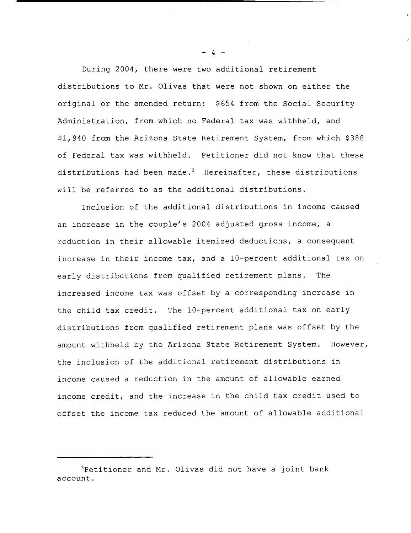During 2004, there were two additional retirement distributions to Mr . Olivas that were not shown on either the original or the amended return: \$654 from the Social Security Administration, from which no Federal tax was withheld, and \$1,940 from the Arizona State Retirement System, from which \$388 of Federal tax was withheld. Petitioner did not know that these distributions had been made.<sup>3</sup> Hereinafter, these distributions will be referred to as the additional distributions.

Inclusion of the additional distributions in income caused an increase in the couple's 2004 adjusted gross income, a reduction in their allowable itemized deductions, a consequent increase in their income tax, and a 10-percent additional tax on early distributions from qualified retirement plans. The increased income tax was offset by a corresponding increase in the child tax credit. The 10-percent additional tax on early distributions from qualified retirement plans was offset by the amount withheld by the Arizona State Retirement System. However, the inclusion of the additional retirement distributions in income caused a reduction in the amount of allowable earned income credit, and the increase in the child tax credit used to offset the income tax reduced the amount of allowable additional

 $-4$   $-$ 

<sup>&</sup>lt;sup>3</sup>Petitioner and Mr. Olivas did not have a joint bank account .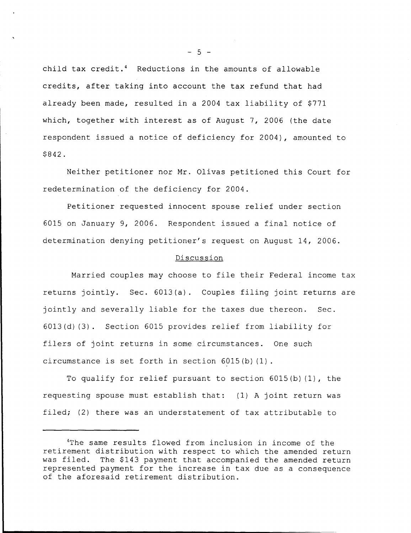child tax credit.<sup>4</sup> Reductions in the amounts of allowable credits, after taking into account the tax refund that had already been made, resulted in a 2004 tax liability of \$771 which, together with interest as of August 7, 2006 (the date respondent issued a notice of deficiency for 2004), amounted to \$842 .

Neither petitioner nor Mr. Olivas petitioned this Court for redetermination of the deficiency for 2004 .

Petitioner requested innocent spouse relief under section 6015 on January 9, 2006. Respondent issued a final notice of determination denying petitioner's request on August 14, 2006 .

### Discussion

Married couples may choose to file their Federal income tax returns jointly. Sec. 6013(a). Couples filing joint returns are jointly and severally liable for the taxes due thereon. Sec. 6013(d)(3) . Section 6015 provides relief from liability for filers of joint returns in some circumstances. One such circumstance is set forth in section 6015(b)(1) .

To qualify for relief pursuant to section  $6015(b)$  (1), the requesting spouse must establish that: (1) A joint return was filed; (2) there was an understatement of tax attributable to

 $- 5 -$ 

<sup>&#</sup>x27;The same results flowed from inclusion in income of the retirement distribution with respect to which the amended return<br>was filed. The \$143 payment that accompanied the amended return The \$143 payment that accompanied the amended return represented payment for the increase in tax due as a consequence of the aforesaid retirement distribution .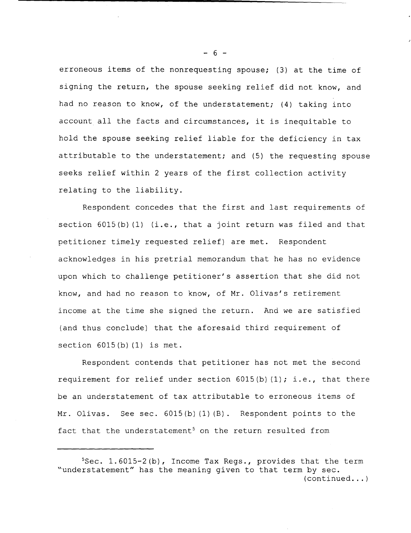erroneous items of the nonrequesting spouse; (3) at the time of signing the return, the spouse seeking relief did not know, and had no reason to know, of the understatement; (4) taking into account all the facts and circumstances, it is inequitable to hold the spouse seeking relief liable for the deficiency in tax attributable to the understatement; and (5) the requesting spouse seeks relief within 2 years of the first collection activity relating to the liability.

Respondent concedes that the first and last requirements of section  $6015(b)$  (1) (i.e., that a joint return was filed and that petitioner timely requested relief) are met. Respondent acknowledges in his pretrial memorandum that he has no evidence upon which to challenge petitioner's assertion that she did not know, and had no reason to know, of Mr. Olivas's retirement income at the time she signed the return. And we are satisfied (and thus conclude) that the aforesaid third requirement of section **6015(b)(1)** is met .

Respondent contends that petitioner has not met the second requirement for relief under section  $6015(b)$  (1); i.e., that there be an understatement of tax attributable to erroneous items of Mr. Olivas. See sec.  $6015(b)(1)(B)$ . Respondent points to the fact that the understatement<sup>5</sup> on the return resulted from

 $- 6 -$ 

 $5$ Sec. 1.6015-2(b), Income Tax Regs., provides that the term "understatement" has the meaning given to that term by sec .  $(continued...)$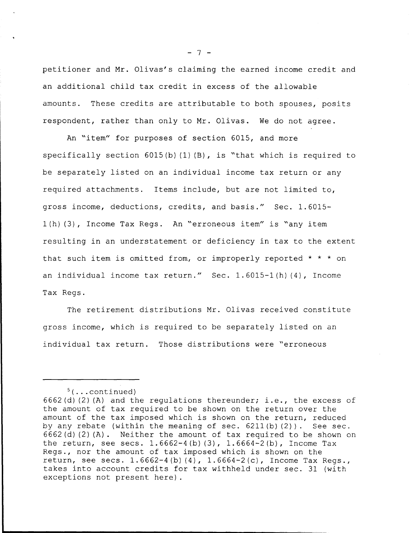**petitioner and Mr . Olivas** ' **s claiming the earned income credit and an additional child tax credit in excess of the allowable amounts** . **These credits are attributable to both spouses** , **posits respondent** , **rather than only to Mr . Olivas** . **We do not agree .**

**An "item" for purposes of section 6015, and more specifically section 6015** ( **b)(1)(B), is** " **that which is required to be separately listed on an individual income tax return or any required attachments** . **Items include** , **but are not limited to, gross income** , **deductions** , **credits, and basis** ." **Sec . 1 .6015- 1(h)(3),** income **Tax Regs** . **An "erroneous item" is "any item resulting in an understatement or deficiency in tax to the extent that such item is omitted from** , **or improperly reported \* \* \* on an individual income tax return** ." **Sec . 1** . **6015** - **1(h)(4), Income Tax Regs .**

**The retirement distributions Mr . Olivas received constitute gross income** , **which is required to be separately listed on an individual tax return** . **Those distributions were** " **erroneou <sup>s</sup>**

 $- 7 -$ 

 $5($ ...continued)

<sup>6662(</sup>d)(2)(A) and the regulations thereunder; i.e., the excess of the amount of tax required to be shown on the return over the amount of the tax imposed which is shown on the return, reduced by any rebate (within the meaning of sec.  $6211(b)(2)$ ). See sec. 6662(d)(2)(A) . Neither the amount of tax required to be shown on the return, see secs.  $1.6662 - 4(b)(3)$ ,  $1.6664 - 2(b)$ , Income Tax Regs ., nor the amount of tax imposed which is shown on the return, see secs.  $1.6662-4(b)(4)$ ,  $1.6664-2(c)$ , Income Tax Regs., takes into account credits for tax withheld under sec . 31 (with exceptions not present here) .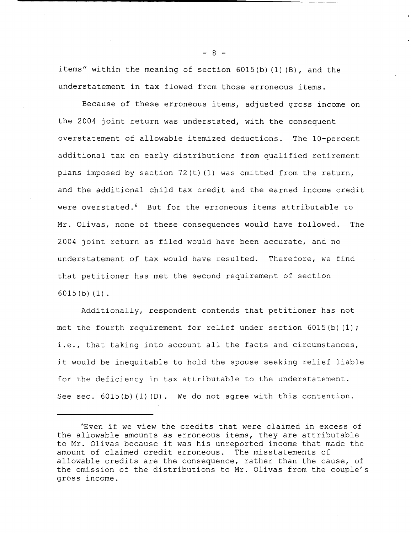items" within the meaning of section 6015(b)(1)(B), and the understatement in tax flowed from those erroneous items .

Because of these erroneous items, adjusted gross income on the 2004 joint return was understated, with the consequent overstatement of allowable itemized deductions. The 10-percent additional tax on early distributions from qualified retirement plans imposed by section  $72(t)(1)$  was omitted from the return, and the additional child tax credit and the earned income credit were overstated.<sup>6</sup> But for the erroneous items attributable to Mr. Olivas, none of these consequences would have followed. The 2004 joint return as filed would have been accurate, and no understatement of tax would have resulted. Therefore, we find that petitioner has met the second requirement of section **6015(b)(1) .**

Additionally, respondent contends that petitioner has not met the fourth requirement for relief under section  $6015(b)(1)$ ; i.e., that taking into account all the facts and circumstances, it would be inequitable to hold the spouse seeking relief liable for the deficiency in tax attributable to the understatement. See sec.  $6015(b)(1)(D)$ . We do not agree with this contention.

 $- 8 -$ 

<sup>6</sup>Even if we view the credits that were claimed in excess of the allowable amounts as erroneous items, they are attributable to Mr . Olivas because it was his unreported income that made the amount of claimed credit erroneous. The misstatements of allowable credits are the consequence, rather than the cause, of the omission of the distributions to Mr. Olivas from the couple's gross income .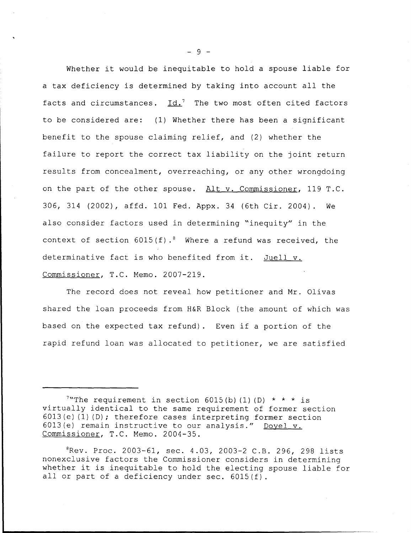Whether it would be inequitable to hold a spouse liable for a tax deficiency is determined by taking into account all the facts and circumstances.  $Id.$ <sup>7</sup> The two most often cited factors to be considered are: (1) Whether there has been a significant benefit to the spouse claiming relief, and (2) whether the failure to report the correct tax liability on the joint return results from concealment, overreaching, or any other wrongdoing on the part of the other spouse. Alt v. Commissioner, 119 T.C. 306, 314 (2002), affd. 101 Fed. Appx. 34 (6th Cir. 2004). We also consider factors used in determining "inequity" in the context of section  $6015(f)$ . Where a refund was received, the determinative fact is who benefited from it. Juell v. Commissioner, T.C. Memo. 2007-219.

The record does not reveal how petitioner and Mr. Olivas shared the loan proceeds from H&R Block (the amount of which was based on the expected tax refund) . Even if a portion of the rapid refund loan was allocated to petitioner, we are satisfied

 $8Rev.$  Proc. 2003-61, sec. 4.03, 2003-2 C.B. 296, 298 lists nonexclusive factors the Commissioner considers in determining whether it is inequitable to hold the electing spouse liable for all or part of a deficiency under sec.  $6015(f)$ .

- 9 -

<sup>&</sup>lt;sup>7</sup>"The requirement in section 6015(b) (1) (D)  $*$   $*$   $*$  is virtually identical to the same requirement of former section  $6013(e)(1)(D)$ ; therefore cases interpreting former section 6013(e) remain instructive to our analysis." Doyel v. Commissioner, T.C. Memo. 2004-35.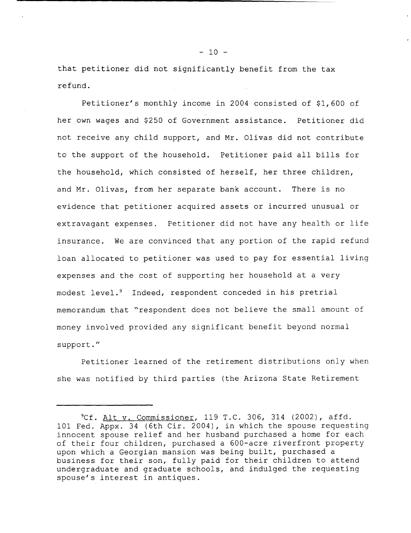that petitioner did not significantly benefit from the tax refund .

Petitioner's monthly income in 2004 consisted of \$1,600 of her own wages and \$250 of Government assistance. Petitioner did not receive any child support, and Mr . Olivas did not contribute to the support of the household. Petitioner paid all bills for the household, which consisted of herself, her three children, and Mr. Olivas, from her separate bank account. There is no evidence that petitioner acquired assets or incurred unusual or extravagant expenses. Petitioner did not have any health or life insurance. We are convinced that any portion of the rapid refund loan allocated to petitioner was used to pay for essential living expenses and the cost of supporting her household at a very modest level.<sup>9</sup> Indeed, respondent conceded in his pretrial memorandum that "respondent does not believe the small amount of money involved provided any significant benefit beyond normal support . "

Petitioner learned of the retirement distributions only when she was notified by third parties (the Arizona State Retirement

 $C^9$ Cf. Alt v. Commissioner, 119 T.C. 306, 314 (2002), affd. 101 Fed. Appx. 34 (6th Cir. 2004), in which the spouse requesting innocent spouse relief and her husband purchased a home for each of their four children, purchased a 600-acre riverfront property upon which a Georgian mansion was being built, purchased a business for their son, fully paid for their children to attend undergraduate and graduate schools, and indulged the requesting spouse's interest in antiques .